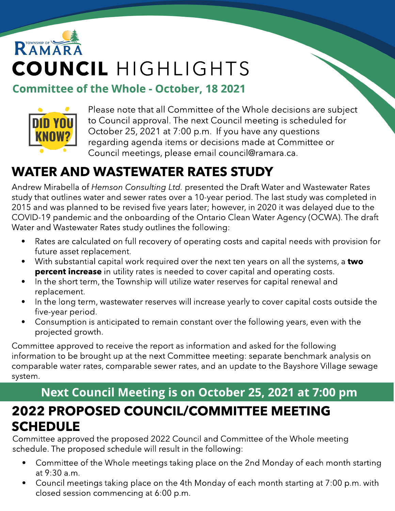# RAMAR COUNCIL HIGHLIGHTS

#### **Committee of the Whole - October, 18 2021**



Please note that all Committee of the Whole decisions are subject to Council approval. The next Council meeting is scheduled for October 25, 2021 at 7:00 p.m. If you have any questions regarding agenda items or decisions made at Committee or Council meetings, please email council@ramara.ca.

## WATER AND WASTEWATER RATES STUDY

Andrew Mirabella of **Hemson Consulting Ltd.** presented the Draft Water and Wastewater Rates study that outlines water and sewer rates over a 10-year period. The last study was completed in 2015 and was planned to be revised five years later; however, in 2020 it was delayed due to the COVID-19 pandemic and the onboarding of the Ontario Clean Water Agency (OCWA). The draft Water and Wastewater Rates study outlines the following:

- Rates are calculated on full recovery of operating costs and capital needs with provision for future asset replacement.
- With substantial capital work required over the next ten years on all the systems, a **two percent increase** in utility rates is needed to cover capital and operating costs.
- In the short term, the Township will utilize water reserves for capital renewal and replacement.
- In the long term, wastewater reserves will increase yearly to cover capital costs outside the five-year period.
- Consumption is anticipated to remain constant over the following years, even with the projected growth.

Committee approved to receive the report as information and asked for the following information to be brought up at the next Committee meeting: separate benchmark analysis on comparable water rates, comparable sewer rates, and an update to the Bayshore Village sewage system.

### Next Council Meeting is on October 25, 2021 at 7:00 pm 2022 PROPOSED COUNCIL/COMMITTEE MEETING **SCHEDULE**

Committee approved the proposed 2022 Council and Committee of the Whole meeting schedule. The proposed schedule will result in the following:

- Committee of the Whole meetings taking place on the 2nd Monday of each month starting at 9:30 a.m.
- Council meetings taking place on the 4th Monday of each month starting at 7:00 p.m. with closed session commencing at 6:00 p.m.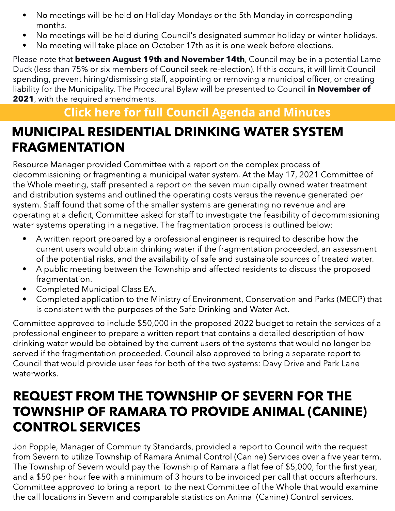- No meetings will be held on Holiday Mondays or the 5th Monday in corresponding months.
- No meetings will be held during Council's designated summer holiday or winter holidays.
- No meeting will take place on October 17th as it is one week before elections.

Please note that between August 19th and November 14th, Council may be in a potential Lame Duck (less than 75% or six members of Council seek re-election). If this occurs, it will limit Council spending, prevent hiring/dismissing staff, appointing or removing a municipal officer, or creating liability for the Municipality. The Procedural Bylaw will be presented to Council in November of 2021, with the required amendments.

#### **[Click](https://ramara.civicweb.net/portal/) [here](https://ramara.civicweb.net/portal/) [for](https://ramara.civicweb.net/portal/) [full](https://ramara.civicweb.net/portal/) [Council](https://ramara.civicweb.net/portal/) [Agenda](https://ramara.civicweb.net/portal/) [and](https://ramara.civicweb.net/portal/) [Minut](https://ramara.civicweb.net/portal/)es**

### MUNICIPAL RESIDENTIAL DRINKING WATER SYSTEM FRAGMENTATION

PAID PARKING WITH HONK Resource Manager provided Committee with a report on the complex process of decommissioning or fragmenting a municipal water system. At the May 17, 2021 Committee of the Whole meeting, staff presented a report on the seven municipally owned water treatment and distribution systems and outlined the operating costs versus the revenue generated per system. Staff found that some of the smaller systems are generating no revenue and are operating at a deficit, Committee asked for staff to investigate the feasibility of decommissioning water systems operating in a negative. The fragmentation process is outlined below:

- A written report prepared by a professional engineer is required to describe how the current users would obtain drinking water if the fragmentation proceeded, an assessment of the potential risks, and the availability of safe and sustainable sources of treated water.
- A public meeting between the Township and affected residents to discuss the proposed fragmentation.
- Completed Municipal Class EA.
- Completed application to the Ministry of Environment, Conservation and Parks (MECP) that is consistent with the purposes of the Safe Drinking and Water Act.

Committee approved to include \$50,000 in the proposed 2022 budget to retain the services of a professional engineer to prepare a written report that contains a detailed description of how drinking water would be obtained by the current users of the systems that would no longer be served if the fragmentation proceeded. Council also approved to bring a separate report to Council that would provide user fees for both of the two systems: Davy Drive and Park Lane waterworks.

### REQUEST FROM THE TOWNSHIP OF SEVERN FOR THE TOWNSHIP OF RAMARA TO PROVIDE ANIMAL (CANINE) CONTROL SERVICES

Jon Popple, Manager of Community Standards, provided a report to Council with the request from Severn to utilize Township of Ramara Animal Control (Canine) Services over a five year term. The Township of Severn would pay the Township of Ramara a flat fee of \$5,000, for the first year, and a \$50 per hour fee with a minimum of 3 hours to be invoiced per call that occurs afterhours. Committee approved to bring a report to the next Committee of the Whole that would examine the call locations in Severn and comparable statistics on Animal (Canine) Control services.